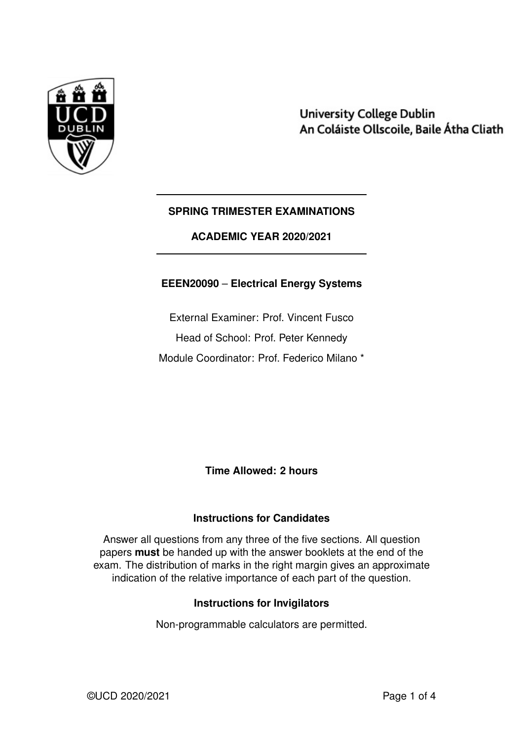

**University College Dublin** An Coláiste Ollscoile, Baile Átha Cliath

### **SPRING TRIMESTER EXAMINATIONS**

**ACADEMIC YEAR 2020/2021**

### **EEEN20090** – **Electrical Energy Systems**

External Examiner: Prof. Vincent Fusco Head of School: Prof. Peter Kennedy Module Coordinator: Prof. Federico Milano \*

**Time Allowed: 2 hours**

### **Instructions for Candidates**

Answer all questions from any three of the five sections. All question papers **must** be handed up with the answer booklets at the end of the exam. The distribution of marks in the right margin gives an approximate indication of the relative importance of each part of the question.

### **Instructions for Invigilators**

Non-programmable calculators are permitted.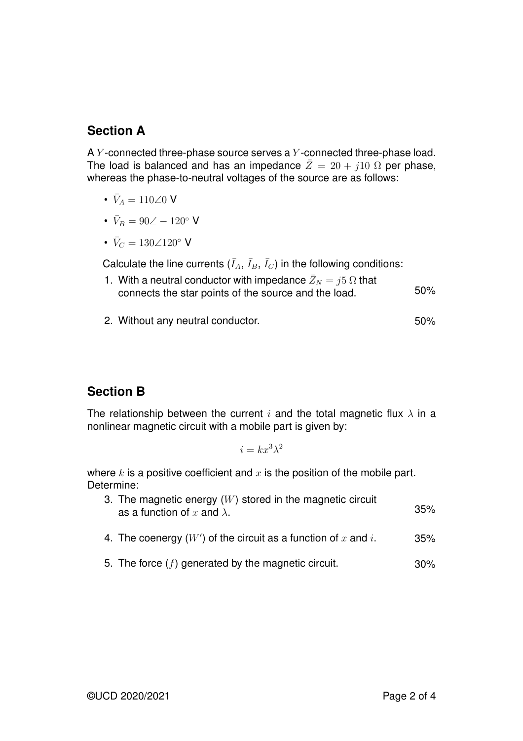### **Section A**

A  $Y$ -connected three-phase source serves a  $Y$ -connected three-phase load. The load is balanced and has an impedance  $\overline{Z}=20+j10 \Omega$  per phase, whereas the phase-to-neutral voltages of the source are as follows:

- $\bar{V}_A = 110\angle 0$  V
- $\bar{V}_B = 90\angle 120^\circ$  V
- $\bar{V}_C = 130\angle 120^\circ$  V

Calculate the line currents  $(\bar{I}_A, \bar{I}_B, \bar{I}_C)$  in the following conditions:

- 1. With a neutral conductor with impedance  $\bar{Z}_N = j5 \Omega$  that connects the star points of the source and the load. 50%
- 2. Without any neutral conductor. The same state of the state state state state state state state state state

## **Section B**

The relationship between the current i and the total magnetic flux  $\lambda$  in a nonlinear magnetic circuit with a mobile part is given by:

$$
i = kx^3\lambda^2
$$

where  $k$  is a positive coefficient and  $x$  is the position of the mobile part. Determine:

| 3. The magnetic energy $(W)$ stored in the magnetic circuit<br>as a function of x and $\lambda$ . | 35% |
|---------------------------------------------------------------------------------------------------|-----|
| 4. The coenergy $(W')$ of the circuit as a function of x and i.                                   | 35% |
| 5. The force $(f)$ generated by the magnetic circuit.                                             | 30% |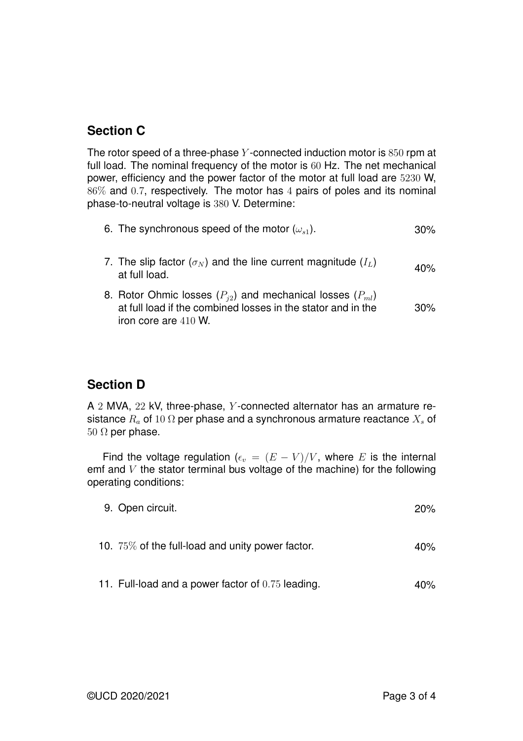## **Section C**

The rotor speed of a three-phase  $Y$ -connected induction motor is  $850$  rpm at full load. The nominal frequency of the motor is 60 Hz. The net mechanical power, efficiency and the power factor of the motor at full load are 5230 W, 86% and 0.7, respectively. The motor has 4 pairs of poles and its nominal phase-to-neutral voltage is 380 V. Determine:

|  | 6. The synchronous speed of the motor $(\omega_{s1})$ . |  | 30% |
|--|---------------------------------------------------------|--|-----|
|--|---------------------------------------------------------|--|-----|

- 7. The slip factor  $(\sigma_N)$  and the line current magnitude  $(I_L)$  40%<br>at full load.
- 8. Rotor Ohmic losses (P*j*<sup>2</sup>) and mechanical losses (P*ml*) at full load if the combined losses in the stator and in the iron core are 410 W. 30%

## **Section D**

A 2 MVA, 22 kV, three-phase, Y-connected alternator has an armature resistance  $R_a$  of 10  $\Omega$  per phase and a synchronous armature reactance  $X_s$  of  $50$  Ω per phase.

Find the voltage regulation ( $\epsilon_v = (E - V)/V$ , where E is the internal emf and  $V$  the stator terminal bus voltage of the machine) for the following operating conditions:

| 9. Open circuit.                                 | 20% |
|--------------------------------------------------|-----|
| 10. 75% of the full-load and unity power factor. | 40% |
|                                                  |     |

11. Full-load and a power factor of 0.75 leading. 40%